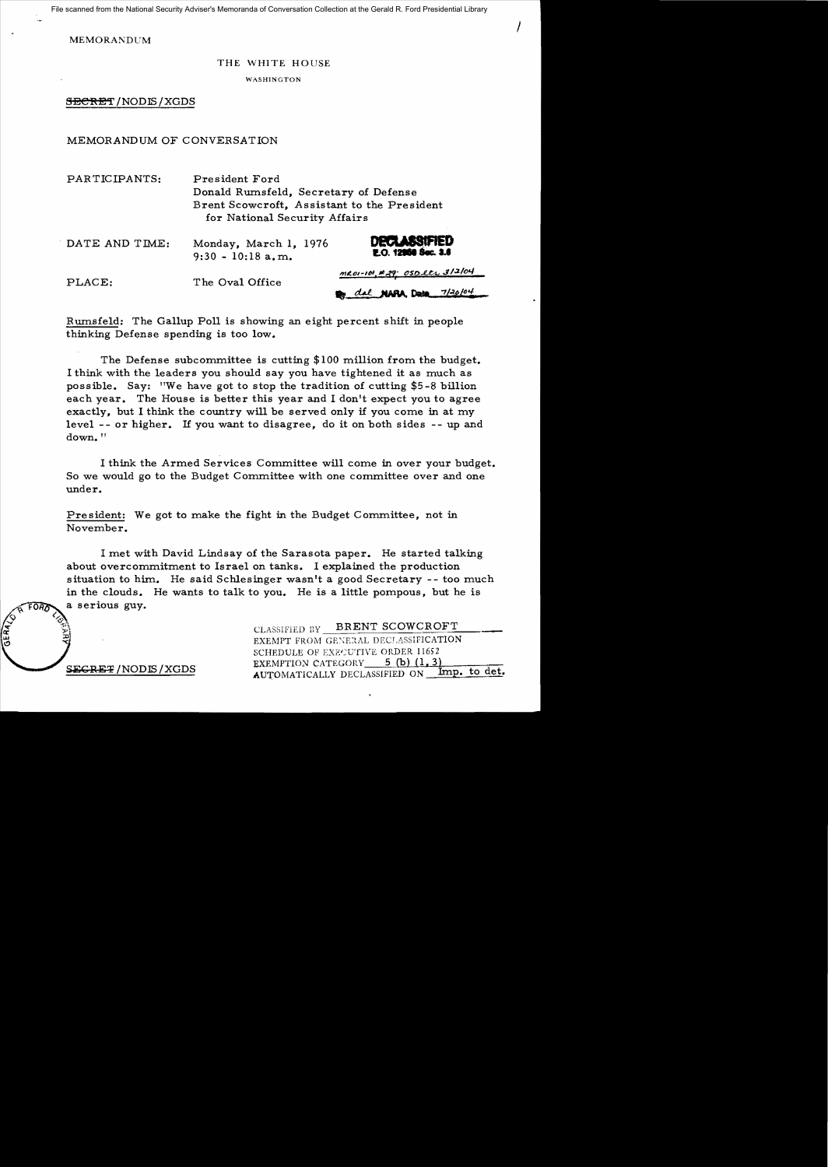File scanned from the National Security Adviser's Memoranda of Conversation Collection at the Gerald R. Ford Presidential Library

MEMORANDCM

## THE WHITE HOUSE

I

WASHINGTON

SBCRET/NODIS/XGDS

## MEMORANDUM OF CONVERSATION

PAR TICIPANTS: President Ford Donald Rumsfeld, Secretary of Defense Brent Scowcroft, Assistant to the President for National Security Affairs

| DATE AND TIME: | Monday, March 1, 1976<br>$9:30 - 10:18$ a, m. | <b>DECLASSIFIED</b><br>E.O. 12868 Sec. 3.6 |
|----------------|-----------------------------------------------|--------------------------------------------|
| PLACE:         | The Oval Office                               | $MLOI-IO1, #29$ OSDets 312/04              |
|                |                                               | dal NARA Desa 7/30/04                      |

Rumsfeld: The Gallup Poll is showing an eight percent shift in people thinking Defense spending is too low.

The Defense subcommittee is cutting \$100 million from the budget. I think with the leaders you should say you have tightened it as much as possible. Say: "We have got to stop the tradition of cutting \$5 -8 billion each year. The House is better this year and I don't expect you to agree exactly, but I think the country will be served only if you come in at my level - or higher. If you want to disagree, do it on both sides - up and down.<sup>11</sup>

I think the Armed Services Committee will come in over your budget. So we would go to the Budget Committee with one committee over and one under.

President: We got to make the fight in the Budget Committee, not in November.

I met with David Lindsay of the Sarasota paper. He started talking about overcommitment to Israel on tanks. I explained the production situation to him. He said Schlesinger wasn't a good Secretary - too much in the clouds. He wants to talk to you. He is a little pompous, but he is a serious guy.

> CLASSIFIED BY BRENT SCOWCROFT EXEMPT FROM GENERAL DECLASSIFICATION SCHEDULE OF EXECUTIVE ORDER 11652 EXEMPTION CATEGORY  $5$  (b)  $(1,3)$ AUTOMATICALLY DECLASSIFIED ON Imp. to det.

SEGRET / NODIS / XGDS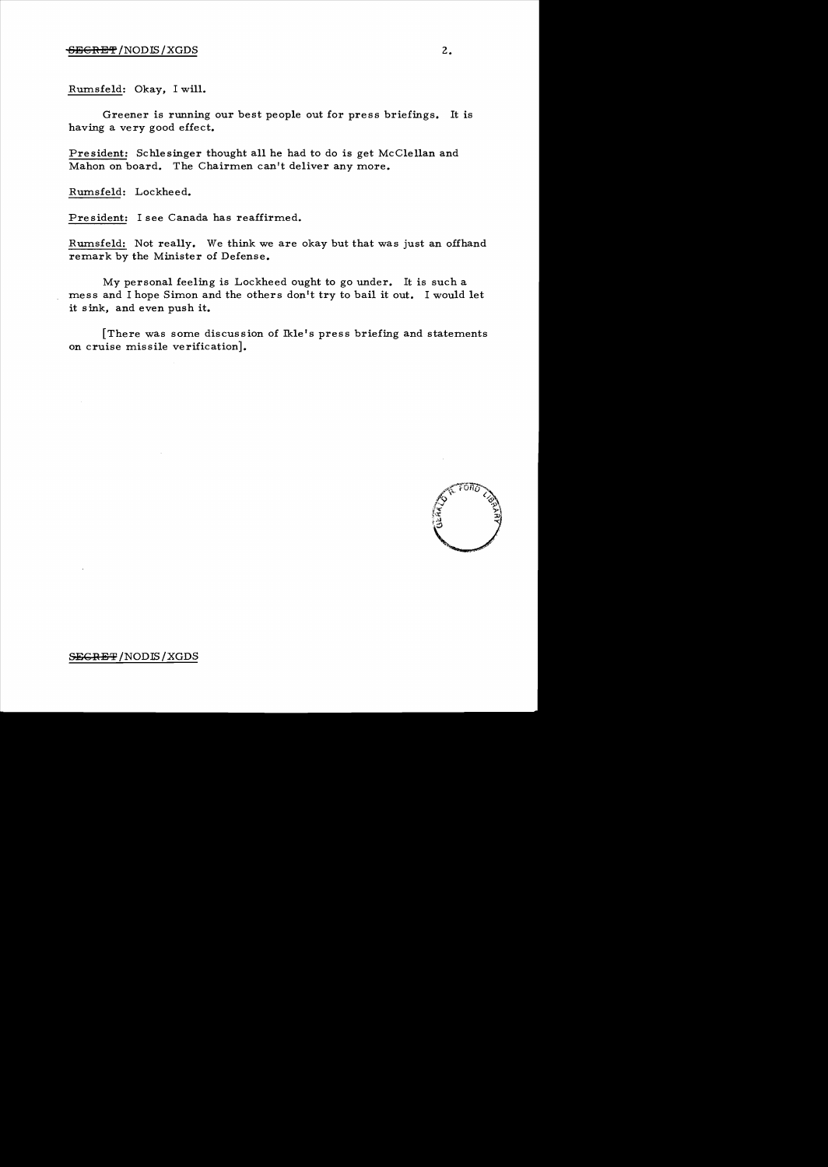Rumsfeld: Okay, I will.

Greener is rwming our best people out for press briefings. It is having a very good effect.

President: Schlesinger thought all he had to do is get McClellan and Mahon on board. The Chairmen can't deliver any more.

Rumsfeld: Lockheed.

Pre sident: I see Canada has reaffirmed.

Rumsfeld: Not really. We think we are okay but that was just an offhand remark by the Minister of Defense.

My personal feeling is Lockheed ought to go under. It is such a mess and I hope Simon and the others don't try to bail it out. I would let it sink, and even push it.

[There was some discussion of Ikle's press briefing and statements on cruise missile verification].

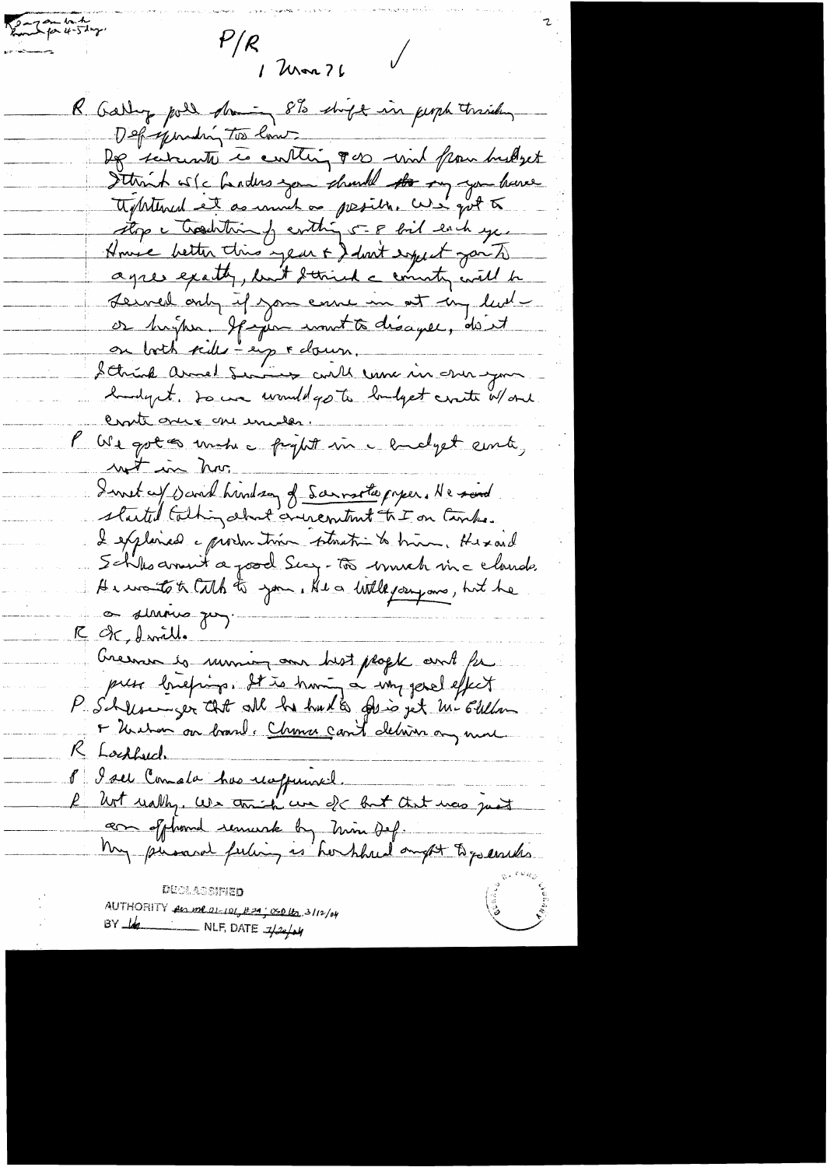Remarkating  $P/\rho$  $\sqrt{}$ 1 Mar 76 R. Garling poll doming 8% shipt in people trisiden Deprejending Too low. Dep subcente le conting 800 und from bustyet Sttrich is (c harders you should the my you have approtuned et as unnet on president curs quet to stop a tradition of conthing 5 - 8 foil each year House better this year & don't expect you to agree exactly, but detried a country will be Leuvel only if you canne in at my level or brigher. If jun count to disagree, don't on both side - eig rebeur. hundrynt. So we would go to londget contr W and. Crate once are enceles. P We got as unchec project in a endget cente, not in hor I wet as said hindren of Sarrate paper. He said started talking about annement to I on Canke. I explained a production betweathin to him, Hexand Schlesdonnet a posal Surg-Tos brush inc claude He wants to talk to you. He a little joing one, but he a simons que R dc, Inrill. Creenan es rumins ann hist people and fu<br>pues briefing. It is huning a why genel effect I Unihan our brand. Chance can't deliver any more K Lockhauch 8 I sel Cometa has reappeared. but really. We think we de but that was just com offhand remurk by Min Def. My present ferting as hor hhred angot to go enter MIJI AGSIFIED AUTHORITY and 01-101, 129; 050 16, 3112/04 BY  $\frac{1}{4}$  NLF, DATE  $\frac{1}{4}$